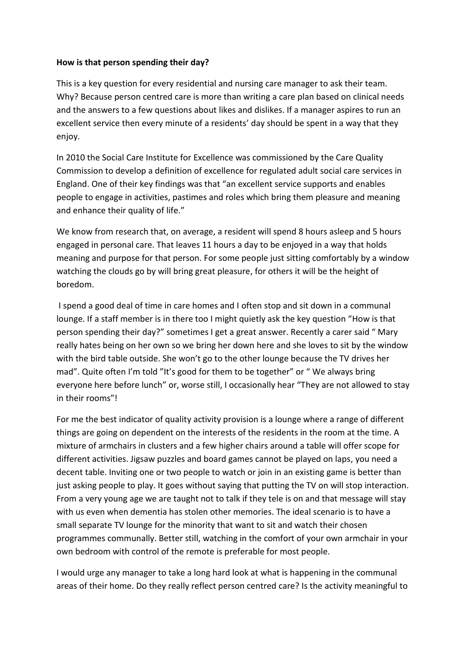## **How is that person spending their day?**

This is a key question for every residential and nursing care manager to ask their team. Why? Because person centred care is more than writing a care plan based on clinical needs and the answers to a few questions about likes and dislikes. If a manager aspires to run an excellent service then every minute of a residents' day should be spent in a way that they enjoy.

In 2010 the Social Care Institute for Excellence was commissioned by the Care Quality Commission to develop a definition of excellence for regulated adult social care services in England. One of their key findings was that "an excellent service supports and enables people to engage in activities, pastimes and roles which bring them pleasure and meaning and enhance their quality of life."

We know from research that, on average, a resident will spend 8 hours asleep and 5 hours engaged in personal care. That leaves 11 hours a day to be enjoyed in a way that holds meaning and purpose for that person. For some people just sitting comfortably by a window watching the clouds go by will bring great pleasure, for others it will be the height of boredom.

I spend a good deal of time in care homes and I often stop and sit down in a communal lounge. If a staff member is in there too I might quietly ask the key question "How is that person spending their day?" sometimes I get a great answer. Recently a carer said " Mary really hates being on her own so we bring her down here and she loves to sit by the window with the bird table outside. She won't go to the other lounge because the TV drives her mad". Quite often I'm told "It's good for them to be together" or " We always bring everyone here before lunch" or, worse still, I occasionally hear "They are not allowed to stay in their rooms"!

For me the best indicator of quality activity provision is a lounge where a range of different things are going on dependent on the interests of the residents in the room at the time. A mixture of armchairs in clusters and a few higher chairs around a table will offer scope for different activities. Jigsaw puzzles and board games cannot be played on laps, you need a decent table. Inviting one or two people to watch or join in an existing game is better than just asking people to play. It goes without saying that putting the TV on will stop interaction. From a very young age we are taught not to talk if they tele is on and that message will stay with us even when dementia has stolen other memories. The ideal scenario is to have a small separate TV lounge for the minority that want to sit and watch their chosen programmes communally. Better still, watching in the comfort of your own armchair in your own bedroom with control of the remote is preferable for most people.

I would urge any manager to take a long hard look at what is happening in the communal areas of their home. Do they really reflect person centred care? Is the activity meaningful to